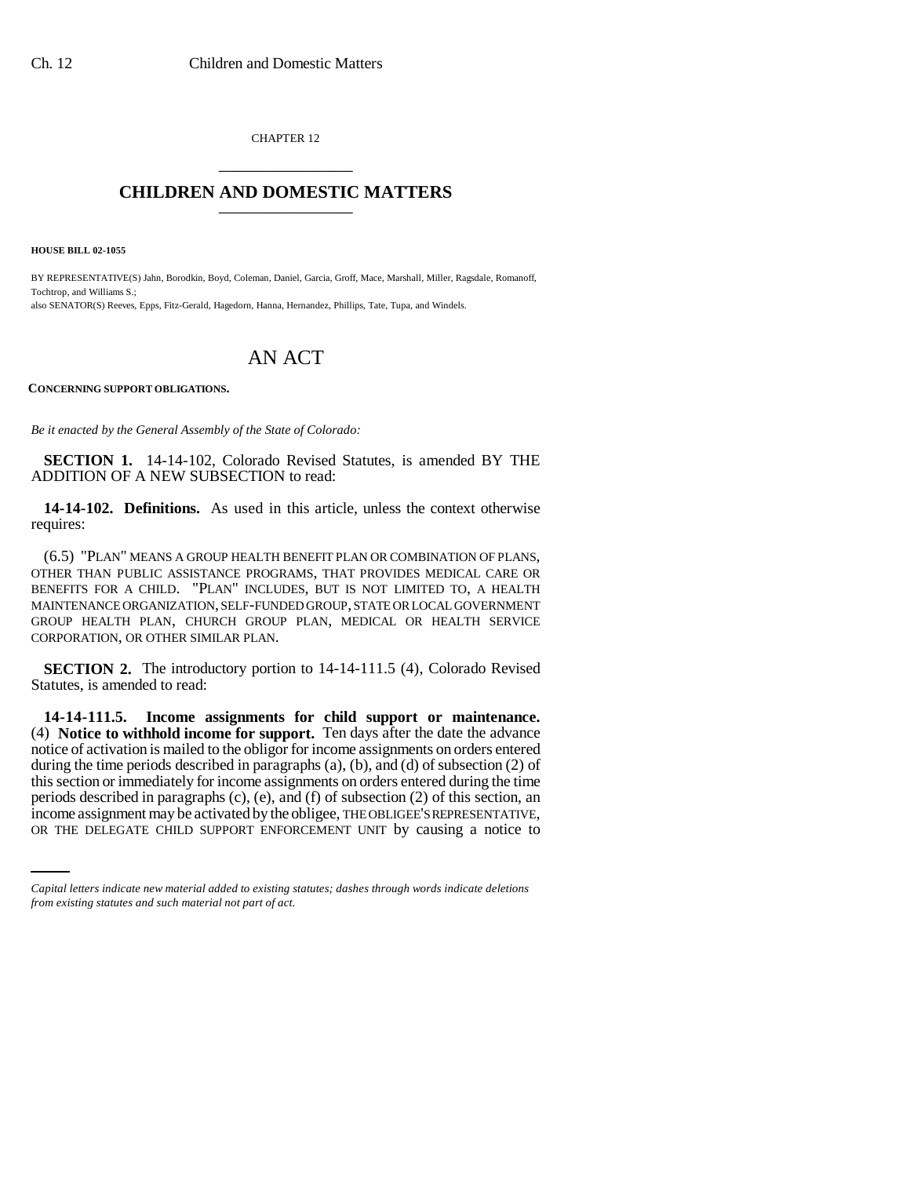CHAPTER 12 \_\_\_\_\_\_\_\_\_\_\_\_\_\_\_

## **CHILDREN AND DOMESTIC MATTERS** \_\_\_\_\_\_\_\_\_\_\_\_\_\_\_

**HOUSE BILL 02-1055**

BY REPRESENTATIVE(S) Jahn, Borodkin, Boyd, Coleman, Daniel, Garcia, Groff, Mace, Marshall, Miller, Ragsdale, Romanoff, Tochtrop, and Williams S.; also SENATOR(S) Reeves, Epps, Fitz-Gerald, Hagedorn, Hanna, Hernandez, Phillips, Tate, Tupa, and Windels.

# AN ACT

### **CONCERNING SUPPORT OBLIGATIONS.**

*Be it enacted by the General Assembly of the State of Colorado:*

**SECTION 1.** 14-14-102, Colorado Revised Statutes, is amended BY THE ADDITION OF A NEW SUBSECTION to read:

**14-14-102. Definitions.** As used in this article, unless the context otherwise requires:

(6.5) "PLAN" MEANS A GROUP HEALTH BENEFIT PLAN OR COMBINATION OF PLANS, OTHER THAN PUBLIC ASSISTANCE PROGRAMS, THAT PROVIDES MEDICAL CARE OR BENEFITS FOR A CHILD. "PLAN" INCLUDES, BUT IS NOT LIMITED TO, A HEALTH MAINTENANCE ORGANIZATION, SELF-FUNDED GROUP, STATE OR LOCAL GOVERNMENT GROUP HEALTH PLAN, CHURCH GROUP PLAN, MEDICAL OR HEALTH SERVICE CORPORATION, OR OTHER SIMILAR PLAN.

**SECTION 2.** The introductory portion to 14-14-111.5 (4), Colorado Revised Statutes, is amended to read:

periods described in paragraphs (c), (e), and (f) of subsection (2) of this section, an **14-14-111.5. Income assignments for child support or maintenance.** (4) **Notice to withhold income for support.** Ten days after the date the advance notice of activation is mailed to the obligor for income assignments on orders entered during the time periods described in paragraphs (a), (b), and (d) of subsection (2) of this section or immediately for income assignments on orders entered during the time income assignment may be activated by the obligee, THE OBLIGEE'S REPRESENTATIVE, OR THE DELEGATE CHILD SUPPORT ENFORCEMENT UNIT by causing a notice to

*Capital letters indicate new material added to existing statutes; dashes through words indicate deletions from existing statutes and such material not part of act.*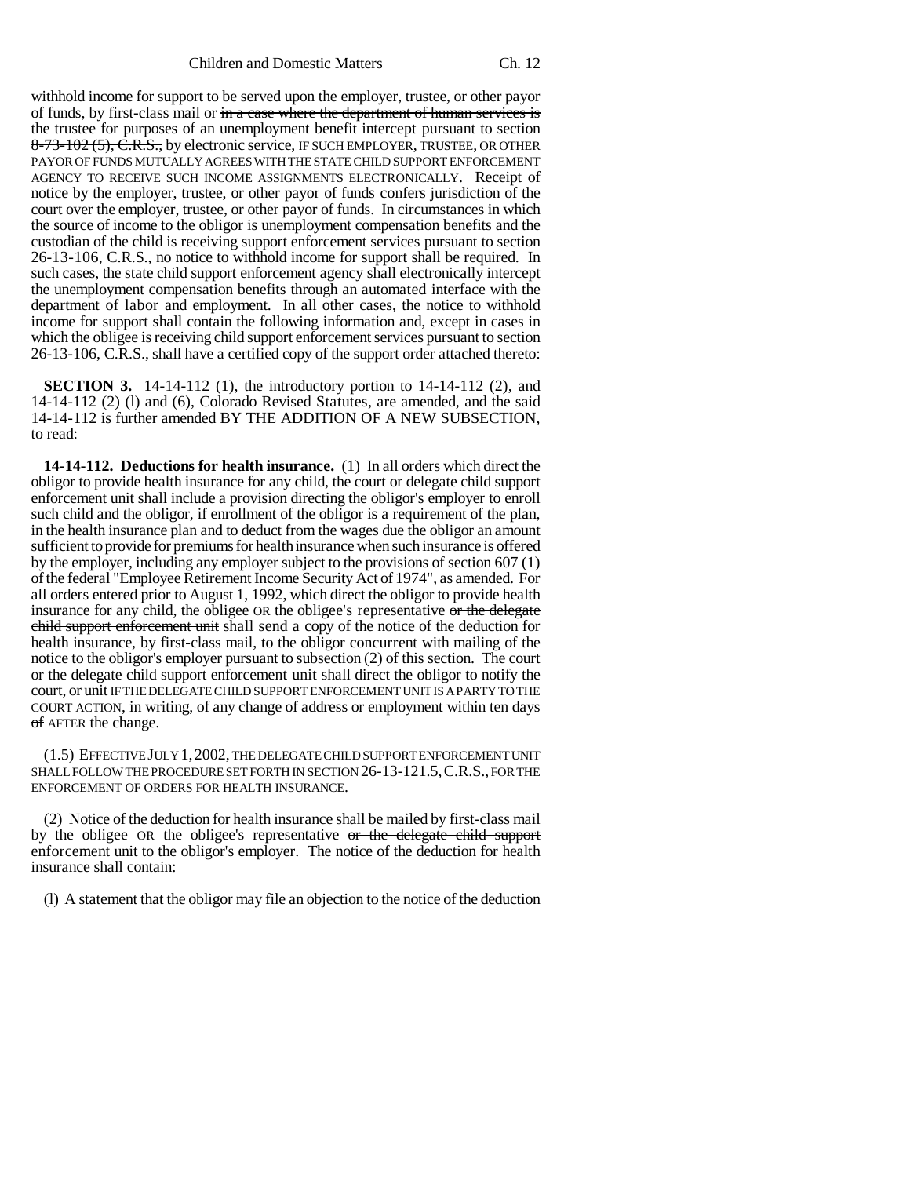withhold income for support to be served upon the employer, trustee, or other payor of funds, by first-class mail or  $\frac{1}{\ln n}$  case where the department of human services is the trustee for purposes of an unemployment benefit intercept pursuant to section 8-73-102 (5), C.R.S., by electronic service, IF SUCH EMPLOYER, TRUSTEE, OR OTHER PAYOR OF FUNDS MUTUALLY AGREES WITH THE STATE CHILD SUPPORT ENFORCEMENT AGENCY TO RECEIVE SUCH INCOME ASSIGNMENTS ELECTRONICALLY. Receipt of notice by the employer, trustee, or other payor of funds confers jurisdiction of the court over the employer, trustee, or other payor of funds. In circumstances in which the source of income to the obligor is unemployment compensation benefits and the custodian of the child is receiving support enforcement services pursuant to section 26-13-106, C.R.S., no notice to withhold income for support shall be required. In such cases, the state child support enforcement agency shall electronically intercept the unemployment compensation benefits through an automated interface with the department of labor and employment. In all other cases, the notice to withhold income for support shall contain the following information and, except in cases in which the obligee is receiving child support enforcement services pursuant to section 26-13-106, C.R.S., shall have a certified copy of the support order attached thereto:

**SECTION 3.** 14-14-112 (1), the introductory portion to 14-14-112 (2), and 14-14-112 (2) (l) and (6), Colorado Revised Statutes, are amended, and the said 14-14-112 is further amended BY THE ADDITION OF A NEW SUBSECTION, to read:

**14-14-112. Deductions for health insurance.** (1) In all orders which direct the obligor to provide health insurance for any child, the court or delegate child support enforcement unit shall include a provision directing the obligor's employer to enroll such child and the obligor, if enrollment of the obligor is a requirement of the plan, in the health insurance plan and to deduct from the wages due the obligor an amount sufficient to provide for premiums for health insurance when such insurance is offered by the employer, including any employer subject to the provisions of section 607 (1) of the federal "Employee Retirement Income Security Act of 1974", as amended. For all orders entered prior to August 1, 1992, which direct the obligor to provide health insurance for any child, the obligee OR the obligee's representative or the delegate child support enforcement unit shall send a copy of the notice of the deduction for health insurance, by first-class mail, to the obligor concurrent with mailing of the notice to the obligor's employer pursuant to subsection (2) of this section. The court or the delegate child support enforcement unit shall direct the obligor to notify the court, or unit IF THE DELEGATE CHILD SUPPORT ENFORCEMENT UNIT IS A PARTY TO THE COURT ACTION, in writing, of any change of address or employment within ten days of AFTER the change.

(1.5) EFFECTIVE JULY 1,2002, THE DELEGATE CHILD SUPPORT ENFORCEMENT UNIT SHALL FOLLOW THE PROCEDURE SET FORTH IN SECTION 26-13-121.5,C.R.S., FOR THE ENFORCEMENT OF ORDERS FOR HEALTH INSURANCE.

(2) Notice of the deduction for health insurance shall be mailed by first-class mail by the obligee OR the obligee's representative or the delegate child support enforcement unit to the obligor's employer. The notice of the deduction for health insurance shall contain:

(l) A statement that the obligor may file an objection to the notice of the deduction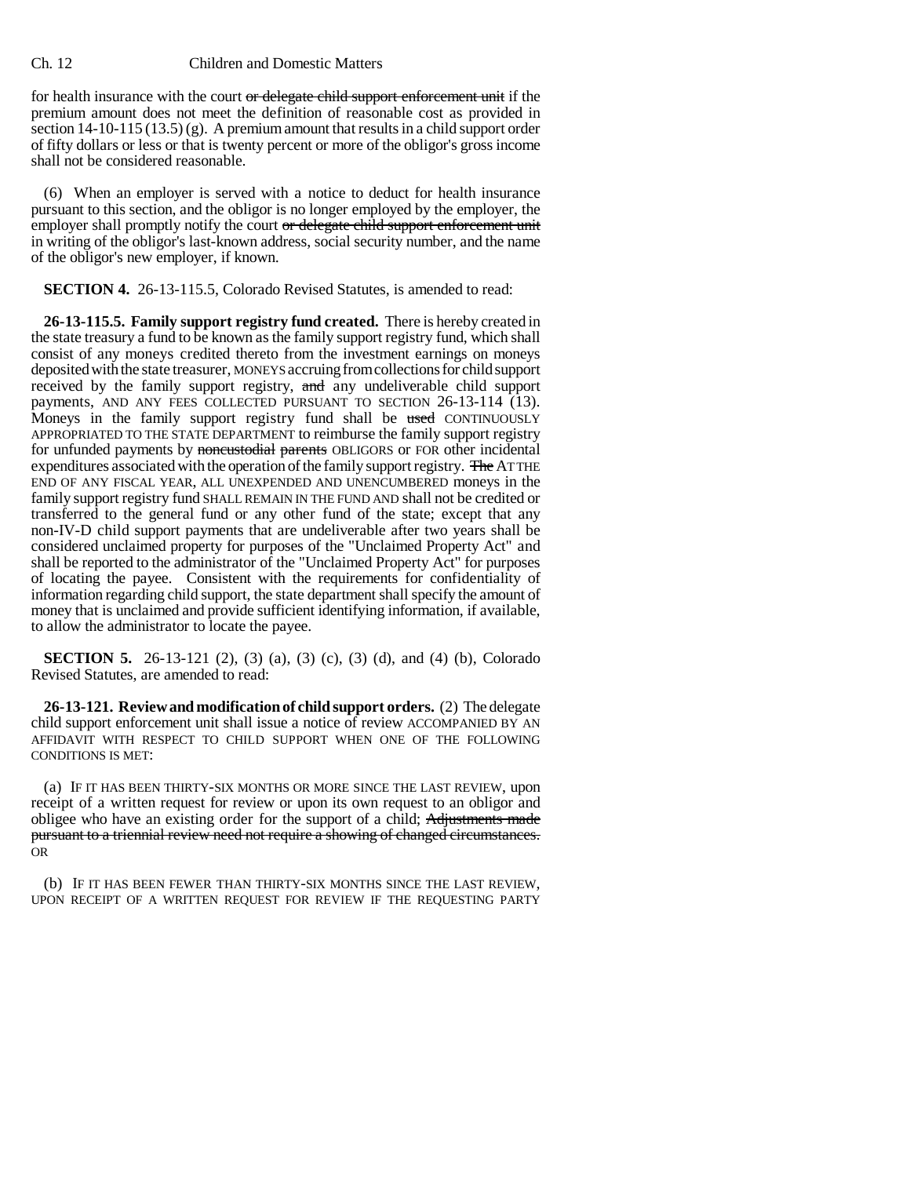### Ch. 12 Children and Domestic Matters

for health insurance with the court or delegate child support enforcement unit if the premium amount does not meet the definition of reasonable cost as provided in section  $14$ -10-115 (13.5) (g). A premium amount that results in a child support order of fifty dollars or less or that is twenty percent or more of the obligor's gross income shall not be considered reasonable.

(6) When an employer is served with a notice to deduct for health insurance pursuant to this section, and the obligor is no longer employed by the employer, the employer shall promptly notify the court or delegate child support enforcement unit in writing of the obligor's last-known address, social security number, and the name of the obligor's new employer, if known.

**SECTION 4.** 26-13-115.5, Colorado Revised Statutes, is amended to read:

**26-13-115.5. Family support registry fund created.** There is hereby created in the state treasury a fund to be known as the family support registry fund, which shall consist of any moneys credited thereto from the investment earnings on moneys deposited with the state treasurer, MONEYS accruing from collections for child support received by the family support registry, and any undeliverable child support payments, AND ANY FEES COLLECTED PURSUANT TO SECTION 26-13-114 (13). Moneys in the family support registry fund shall be used CONTINUOUSLY APPROPRIATED TO THE STATE DEPARTMENT to reimburse the family support registry for unfunded payments by noncustodial parents OBLIGORS or FOR other incidental expenditures associated with the operation of the family support registry. The AT THE END OF ANY FISCAL YEAR, ALL UNEXPENDED AND UNENCUMBERED moneys in the family support registry fund SHALL REMAIN IN THE FUND AND shall not be credited or transferred to the general fund or any other fund of the state; except that any non-IV-D child support payments that are undeliverable after two years shall be considered unclaimed property for purposes of the "Unclaimed Property Act" and shall be reported to the administrator of the "Unclaimed Property Act" for purposes of locating the payee. Consistent with the requirements for confidentiality of information regarding child support, the state department shall specify the amount of money that is unclaimed and provide sufficient identifying information, if available, to allow the administrator to locate the payee.

**SECTION 5.** 26-13-121 (2), (3) (a), (3) (c), (3) (d), and (4) (b), Colorado Revised Statutes, are amended to read:

**26-13-121. Review and modification of child support orders.** (2) The delegate child support enforcement unit shall issue a notice of review ACCOMPANIED BY AN AFFIDAVIT WITH RESPECT TO CHILD SUPPORT WHEN ONE OF THE FOLLOWING CONDITIONS IS MET:

(a) IF IT HAS BEEN THIRTY-SIX MONTHS OR MORE SINCE THE LAST REVIEW, upon receipt of a written request for review or upon its own request to an obligor and obligee who have an existing order for the support of a child; Adjustments made pursuant to a triennial review need not require a showing of changed circumstances. OR

(b) IF IT HAS BEEN FEWER THAN THIRTY-SIX MONTHS SINCE THE LAST REVIEW, UPON RECEIPT OF A WRITTEN REQUEST FOR REVIEW IF THE REQUESTING PARTY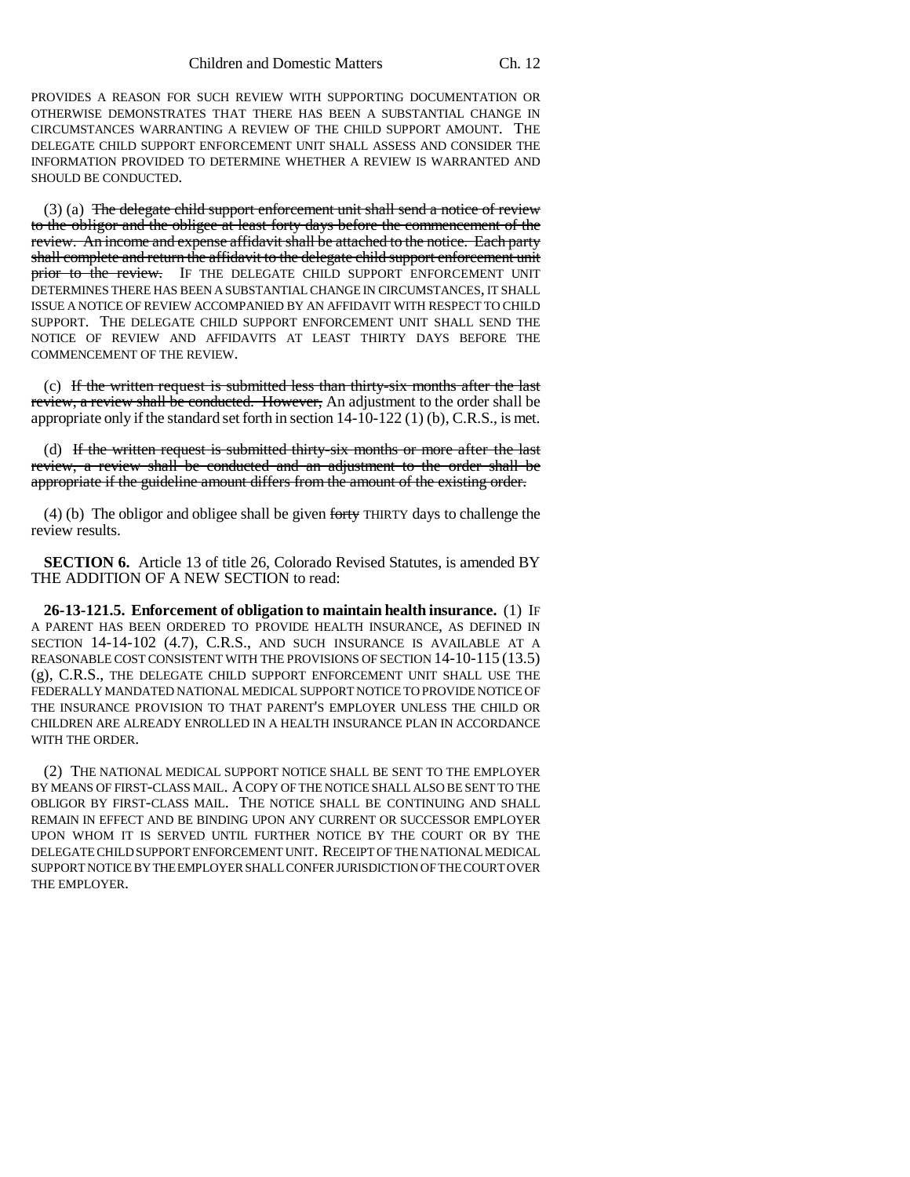PROVIDES A REASON FOR SUCH REVIEW WITH SUPPORTING DOCUMENTATION OR OTHERWISE DEMONSTRATES THAT THERE HAS BEEN A SUBSTANTIAL CHANGE IN CIRCUMSTANCES WARRANTING A REVIEW OF THE CHILD SUPPORT AMOUNT. THE DELEGATE CHILD SUPPORT ENFORCEMENT UNIT SHALL ASSESS AND CONSIDER THE INFORMATION PROVIDED TO DETERMINE WHETHER A REVIEW IS WARRANTED AND SHOULD BE CONDUCTED.

(3) (a) The delegate child support enforcement unit shall send a notice of review to the obligor and the obligee at least forty days before the commencement of the review. An income and expense affidavit shall be attached to the notice. Each party shall complete and return the affidavit to the delegate child support enforcement unit prior to the review. IF THE DELEGATE CHILD SUPPORT ENFORCEMENT UNIT DETERMINES THERE HAS BEEN A SUBSTANTIAL CHANGE IN CIRCUMSTANCES, IT SHALL ISSUE A NOTICE OF REVIEW ACCOMPANIED BY AN AFFIDAVIT WITH RESPECT TO CHILD SUPPORT. THE DELEGATE CHILD SUPPORT ENFORCEMENT UNIT SHALL SEND THE NOTICE OF REVIEW AND AFFIDAVITS AT LEAST THIRTY DAYS BEFORE THE COMMENCEMENT OF THE REVIEW.

(c) If the written request is submitted less than thirty-six months after the last review, a review shall be conducted. However, An adjustment to the order shall be appropriate only if the standard set forth in section  $14-10-122$  (1) (b), C.R.S., is met.

(d) If the written request is submitted thirty-six months or more after the last review, a review shall be conducted and an adjustment to the order shall be appropriate if the guideline amount differs from the amount of the existing order.

(4) (b) The obligor and obligee shall be given forty THIRTY days to challenge the review results.

**SECTION 6.** Article 13 of title 26, Colorado Revised Statutes, is amended BY THE ADDITION OF A NEW SECTION to read:

**26-13-121.5. Enforcement of obligation to maintain health insurance.** (1) IF A PARENT HAS BEEN ORDERED TO PROVIDE HEALTH INSURANCE, AS DEFINED IN SECTION 14-14-102 (4.7), C.R.S., AND SUCH INSURANCE IS AVAILABLE AT A REASONABLE COST CONSISTENT WITH THE PROVISIONS OF SECTION 14-10-115 (13.5) (g), C.R.S., THE DELEGATE CHILD SUPPORT ENFORCEMENT UNIT SHALL USE THE FEDERALLY MANDATED NATIONAL MEDICAL SUPPORT NOTICE TO PROVIDE NOTICE OF THE INSURANCE PROVISION TO THAT PARENT'S EMPLOYER UNLESS THE CHILD OR CHILDREN ARE ALREADY ENROLLED IN A HEALTH INSURANCE PLAN IN ACCORDANCE WITH THE ORDER.

(2) THE NATIONAL MEDICAL SUPPORT NOTICE SHALL BE SENT TO THE EMPLOYER BY MEANS OF FIRST-CLASS MAIL. A COPY OF THE NOTICE SHALL ALSO BE SENT TO THE OBLIGOR BY FIRST-CLASS MAIL. THE NOTICE SHALL BE CONTINUING AND SHALL REMAIN IN EFFECT AND BE BINDING UPON ANY CURRENT OR SUCCESSOR EMPLOYER UPON WHOM IT IS SERVED UNTIL FURTHER NOTICE BY THE COURT OR BY THE DELEGATE CHILD SUPPORT ENFORCEMENT UNIT. RECEIPT OF THE NATIONAL MEDICAL SUPPORT NOTICE BY THE EMPLOYER SHALL CONFER JURISDICTION OF THE COURT OVER THE EMPLOYER.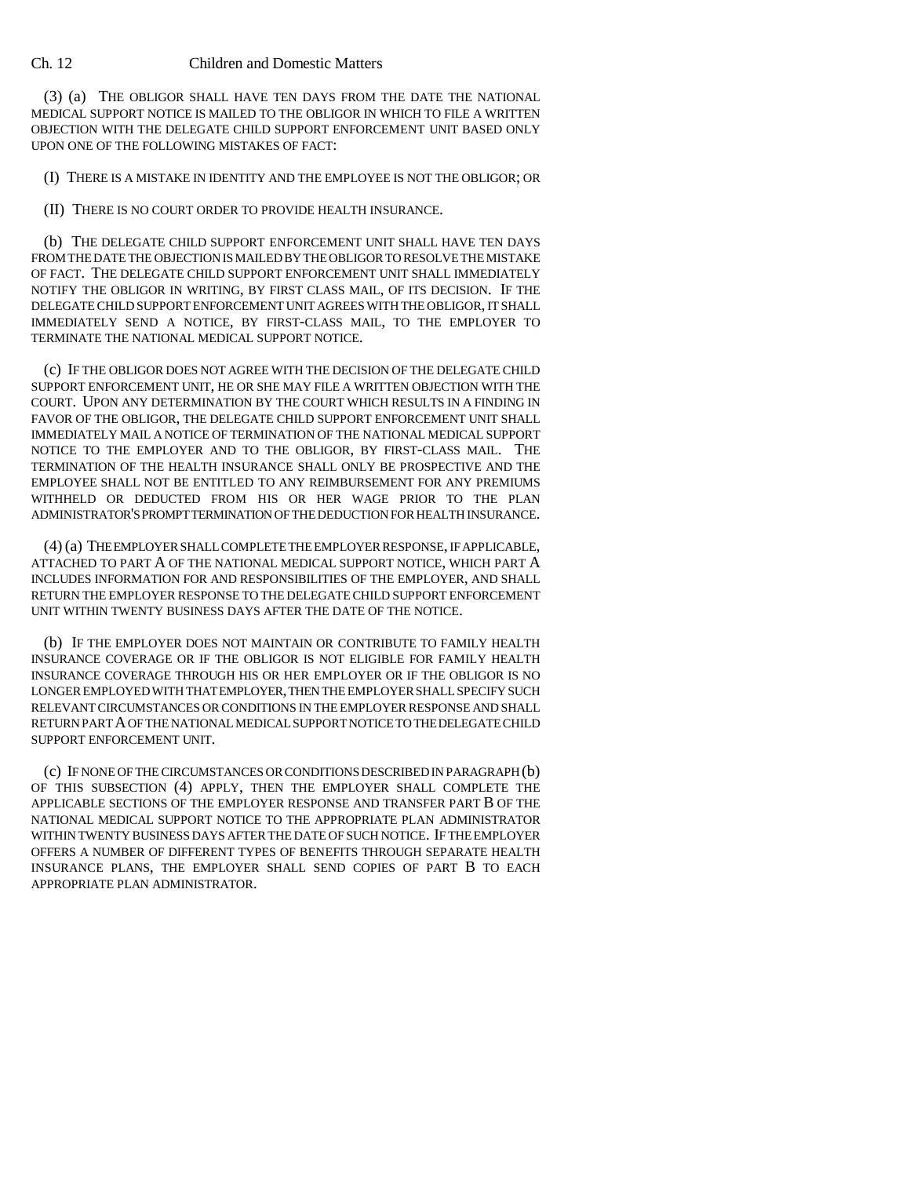### Ch. 12 Children and Domestic Matters

(3) (a) THE OBLIGOR SHALL HAVE TEN DAYS FROM THE DATE THE NATIONAL MEDICAL SUPPORT NOTICE IS MAILED TO THE OBLIGOR IN WHICH TO FILE A WRITTEN OBJECTION WITH THE DELEGATE CHILD SUPPORT ENFORCEMENT UNIT BASED ONLY UPON ONE OF THE FOLLOWING MISTAKES OF FACT:

(I) THERE IS A MISTAKE IN IDENTITY AND THE EMPLOYEE IS NOT THE OBLIGOR; OR

(II) THERE IS NO COURT ORDER TO PROVIDE HEALTH INSURANCE.

(b) THE DELEGATE CHILD SUPPORT ENFORCEMENT UNIT SHALL HAVE TEN DAYS FROM THE DATE THE OBJECTION IS MAILED BY THE OBLIGOR TO RESOLVE THE MISTAKE OF FACT. THE DELEGATE CHILD SUPPORT ENFORCEMENT UNIT SHALL IMMEDIATELY NOTIFY THE OBLIGOR IN WRITING, BY FIRST CLASS MAIL, OF ITS DECISION. IF THE DELEGATE CHILD SUPPORT ENFORCEMENT UNIT AGREES WITH THE OBLIGOR, IT SHALL IMMEDIATELY SEND A NOTICE, BY FIRST-CLASS MAIL, TO THE EMPLOYER TO TERMINATE THE NATIONAL MEDICAL SUPPORT NOTICE.

(c) IF THE OBLIGOR DOES NOT AGREE WITH THE DECISION OF THE DELEGATE CHILD SUPPORT ENFORCEMENT UNIT, HE OR SHE MAY FILE A WRITTEN OBJECTION WITH THE COURT. UPON ANY DETERMINATION BY THE COURT WHICH RESULTS IN A FINDING IN FAVOR OF THE OBLIGOR, THE DELEGATE CHILD SUPPORT ENFORCEMENT UNIT SHALL IMMEDIATELY MAIL A NOTICE OF TERMINATION OF THE NATIONAL MEDICAL SUPPORT NOTICE TO THE EMPLOYER AND TO THE OBLIGOR, BY FIRST-CLASS MAIL. THE TERMINATION OF THE HEALTH INSURANCE SHALL ONLY BE PROSPECTIVE AND THE EMPLOYEE SHALL NOT BE ENTITLED TO ANY REIMBURSEMENT FOR ANY PREMIUMS WITHHELD OR DEDUCTED FROM HIS OR HER WAGE PRIOR TO THE PLAN ADMINISTRATOR'S PROMPT TERMINATION OF THE DEDUCTION FOR HEALTH INSURANCE.

(4) (a) THE EMPLOYER SHALL COMPLETE THE EMPLOYER RESPONSE, IF APPLICABLE, ATTACHED TO PART A OF THE NATIONAL MEDICAL SUPPORT NOTICE, WHICH PART A INCLUDES INFORMATION FOR AND RESPONSIBILITIES OF THE EMPLOYER, AND SHALL RETURN THE EMPLOYER RESPONSE TO THE DELEGATE CHILD SUPPORT ENFORCEMENT UNIT WITHIN TWENTY BUSINESS DAYS AFTER THE DATE OF THE NOTICE.

(b) IF THE EMPLOYER DOES NOT MAINTAIN OR CONTRIBUTE TO FAMILY HEALTH INSURANCE COVERAGE OR IF THE OBLIGOR IS NOT ELIGIBLE FOR FAMILY HEALTH INSURANCE COVERAGE THROUGH HIS OR HER EMPLOYER OR IF THE OBLIGOR IS NO LONGER EMPLOYED WITH THAT EMPLOYER, THEN THE EMPLOYER SHALL SPECIFY SUCH RELEVANT CIRCUMSTANCES OR CONDITIONS IN THE EMPLOYER RESPONSE AND SHALL RETURN PART A OF THE NATIONAL MEDICAL SUPPORT NOTICE TO THE DELEGATE CHILD SUPPORT ENFORCEMENT UNIT.

(c) IF NONE OF THE CIRCUMSTANCES OR CONDITIONS DESCRIBED IN PARAGRAPH (b) OF THIS SUBSECTION (4) APPLY, THEN THE EMPLOYER SHALL COMPLETE THE APPLICABLE SECTIONS OF THE EMPLOYER RESPONSE AND TRANSFER PART B OF THE NATIONAL MEDICAL SUPPORT NOTICE TO THE APPROPRIATE PLAN ADMINISTRATOR WITHIN TWENTY BUSINESS DAYS AFTER THE DATE OF SUCH NOTICE. IF THE EMPLOYER OFFERS A NUMBER OF DIFFERENT TYPES OF BENEFITS THROUGH SEPARATE HEALTH INSURANCE PLANS, THE EMPLOYER SHALL SEND COPIES OF PART B TO EACH APPROPRIATE PLAN ADMINISTRATOR.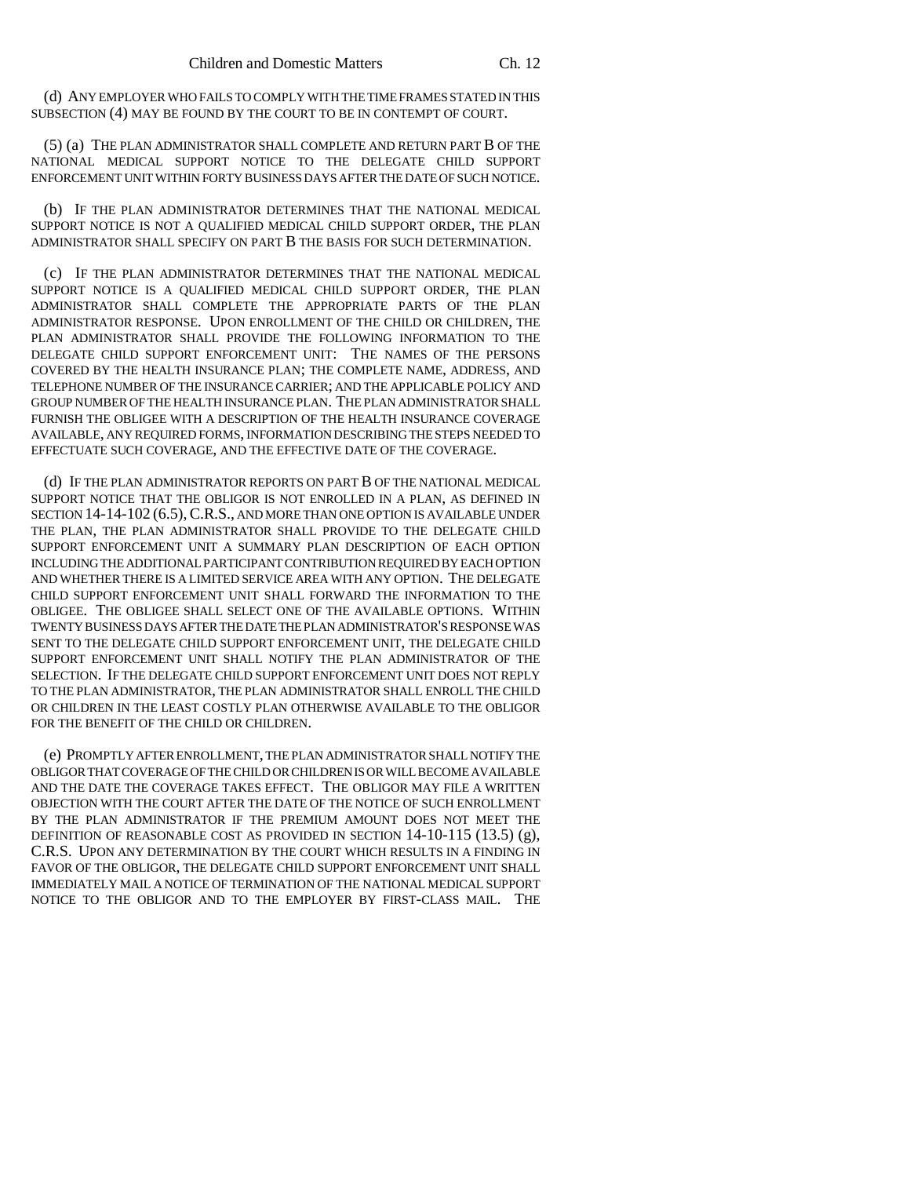(d) ANY EMPLOYER WHO FAILS TO COMPLY WITH THE TIME FRAMES STATED IN THIS SUBSECTION (4) MAY BE FOUND BY THE COURT TO BE IN CONTEMPT OF COURT.

(5) (a) THE PLAN ADMINISTRATOR SHALL COMPLETE AND RETURN PART B OF THE NATIONAL MEDICAL SUPPORT NOTICE TO THE DELEGATE CHILD SUPPORT ENFORCEMENT UNIT WITHIN FORTY BUSINESS DAYS AFTER THE DATE OF SUCH NOTICE.

(b) IF THE PLAN ADMINISTRATOR DETERMINES THAT THE NATIONAL MEDICAL SUPPORT NOTICE IS NOT A QUALIFIED MEDICAL CHILD SUPPORT ORDER, THE PLAN ADMINISTRATOR SHALL SPECIFY ON PART B THE BASIS FOR SUCH DETERMINATION.

(c) IF THE PLAN ADMINISTRATOR DETERMINES THAT THE NATIONAL MEDICAL SUPPORT NOTICE IS A QUALIFIED MEDICAL CHILD SUPPORT ORDER, THE PLAN ADMINISTRATOR SHALL COMPLETE THE APPROPRIATE PARTS OF THE PLAN ADMINISTRATOR RESPONSE. UPON ENROLLMENT OF THE CHILD OR CHILDREN, THE PLAN ADMINISTRATOR SHALL PROVIDE THE FOLLOWING INFORMATION TO THE DELEGATE CHILD SUPPORT ENFORCEMENT UNIT: THE NAMES OF THE PERSONS COVERED BY THE HEALTH INSURANCE PLAN; THE COMPLETE NAME, ADDRESS, AND TELEPHONE NUMBER OF THE INSURANCE CARRIER; AND THE APPLICABLE POLICY AND GROUP NUMBER OF THE HEALTH INSURANCE PLAN. THE PLAN ADMINISTRATOR SHALL FURNISH THE OBLIGEE WITH A DESCRIPTION OF THE HEALTH INSURANCE COVERAGE AVAILABLE, ANY REQUIRED FORMS, INFORMATION DESCRIBING THE STEPS NEEDED TO EFFECTUATE SUCH COVERAGE, AND THE EFFECTIVE DATE OF THE COVERAGE.

(d) IF THE PLAN ADMINISTRATOR REPORTS ON PART B OF THE NATIONAL MEDICAL SUPPORT NOTICE THAT THE OBLIGOR IS NOT ENROLLED IN A PLAN, AS DEFINED IN SECTION 14-14-102 (6.5), C.R.S., AND MORE THAN ONE OPTION IS AVAILABLE UNDER THE PLAN, THE PLAN ADMINISTRATOR SHALL PROVIDE TO THE DELEGATE CHILD SUPPORT ENFORCEMENT UNIT A SUMMARY PLAN DESCRIPTION OF EACH OPTION INCLUDING THE ADDITIONAL PARTICIPANT CONTRIBUTION REQUIRED BY EACH OPTION AND WHETHER THERE IS A LIMITED SERVICE AREA WITH ANY OPTION. THE DELEGATE CHILD SUPPORT ENFORCEMENT UNIT SHALL FORWARD THE INFORMATION TO THE OBLIGEE. THE OBLIGEE SHALL SELECT ONE OF THE AVAILABLE OPTIONS. WITHIN TWENTY BUSINESS DAYS AFTER THE DATE THE PLAN ADMINISTRATOR'S RESPONSE WAS SENT TO THE DELEGATE CHILD SUPPORT ENFORCEMENT UNIT, THE DELEGATE CHILD SUPPORT ENFORCEMENT UNIT SHALL NOTIFY THE PLAN ADMINISTRATOR OF THE SELECTION. IF THE DELEGATE CHILD SUPPORT ENFORCEMENT UNIT DOES NOT REPLY TO THE PLAN ADMINISTRATOR, THE PLAN ADMINISTRATOR SHALL ENROLL THE CHILD OR CHILDREN IN THE LEAST COSTLY PLAN OTHERWISE AVAILABLE TO THE OBLIGOR FOR THE BENEFIT OF THE CHILD OR CHILDREN.

(e) PROMPTLY AFTER ENROLLMENT, THE PLAN ADMINISTRATOR SHALL NOTIFY THE OBLIGOR THAT COVERAGE OF THE CHILD OR CHILDREN IS OR WILL BECOME AVAILABLE AND THE DATE THE COVERAGE TAKES EFFECT. THE OBLIGOR MAY FILE A WRITTEN OBJECTION WITH THE COURT AFTER THE DATE OF THE NOTICE OF SUCH ENROLLMENT BY THE PLAN ADMINISTRATOR IF THE PREMIUM AMOUNT DOES NOT MEET THE DEFINITION OF REASONABLE COST AS PROVIDED IN SECTION  $14-10-115$  (13.5) (g), C.R.S. UPON ANY DETERMINATION BY THE COURT WHICH RESULTS IN A FINDING IN FAVOR OF THE OBLIGOR, THE DELEGATE CHILD SUPPORT ENFORCEMENT UNIT SHALL IMMEDIATELY MAIL A NOTICE OF TERMINATION OF THE NATIONAL MEDICAL SUPPORT NOTICE TO THE OBLIGOR AND TO THE EMPLOYER BY FIRST-CLASS MAIL. THE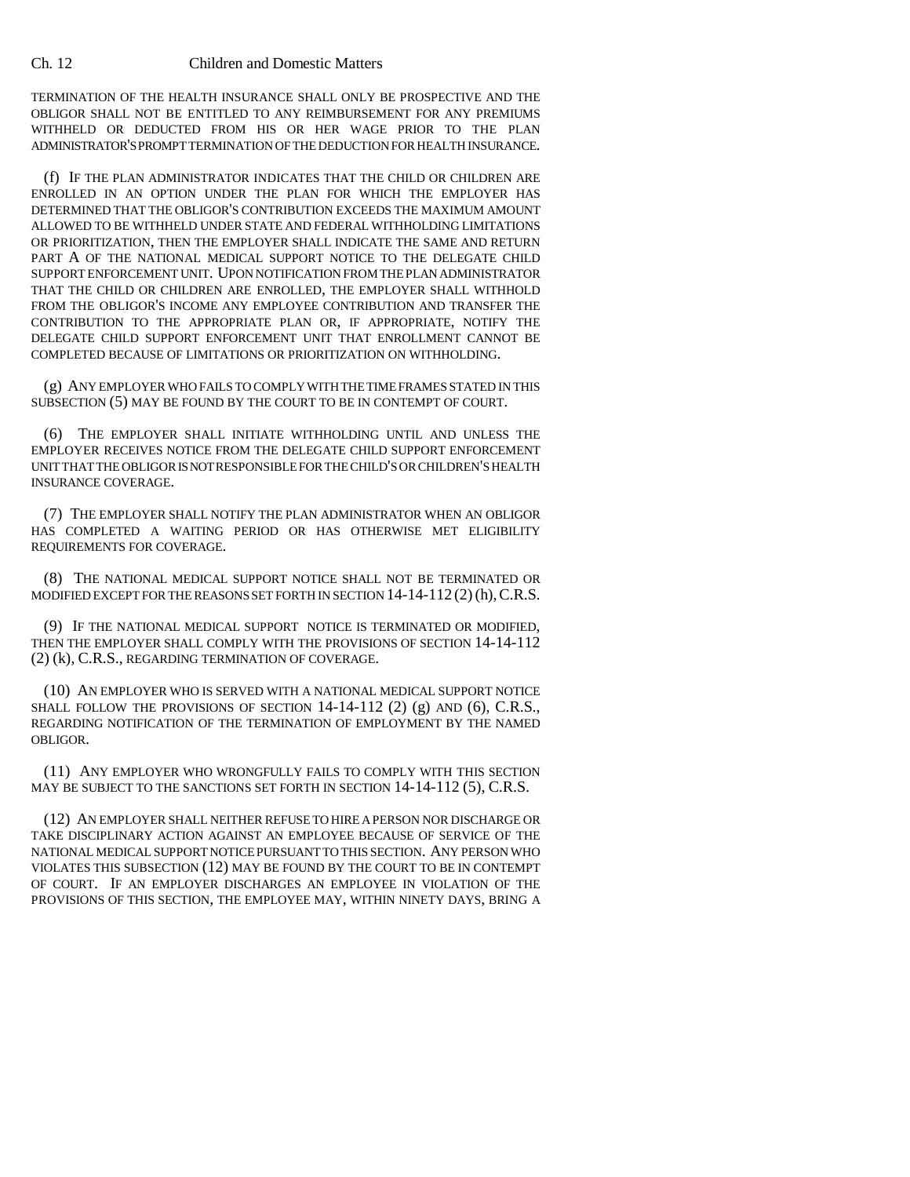TERMINATION OF THE HEALTH INSURANCE SHALL ONLY BE PROSPECTIVE AND THE OBLIGOR SHALL NOT BE ENTITLED TO ANY REIMBURSEMENT FOR ANY PREMIUMS WITHHELD OR DEDUCTED FROM HIS OR HER WAGE PRIOR TO THE PLAN ADMINISTRATOR'S PROMPT TERMINATION OF THE DEDUCTION FOR HEALTH INSURANCE.

(f) IF THE PLAN ADMINISTRATOR INDICATES THAT THE CHILD OR CHILDREN ARE ENROLLED IN AN OPTION UNDER THE PLAN FOR WHICH THE EMPLOYER HAS DETERMINED THAT THE OBLIGOR'S CONTRIBUTION EXCEEDS THE MAXIMUM AMOUNT ALLOWED TO BE WITHHELD UNDER STATE AND FEDERAL WITHHOLDING LIMITATIONS OR PRIORITIZATION, THEN THE EMPLOYER SHALL INDICATE THE SAME AND RETURN PART A OF THE NATIONAL MEDICAL SUPPORT NOTICE TO THE DELEGATE CHILD SUPPORT ENFORCEMENT UNIT. UPON NOTIFICATION FROM THE PLAN ADMINISTRATOR THAT THE CHILD OR CHILDREN ARE ENROLLED, THE EMPLOYER SHALL WITHHOLD FROM THE OBLIGOR'S INCOME ANY EMPLOYEE CONTRIBUTION AND TRANSFER THE CONTRIBUTION TO THE APPROPRIATE PLAN OR, IF APPROPRIATE, NOTIFY THE DELEGATE CHILD SUPPORT ENFORCEMENT UNIT THAT ENROLLMENT CANNOT BE COMPLETED BECAUSE OF LIMITATIONS OR PRIORITIZATION ON WITHHOLDING.

(g) ANY EMPLOYER WHO FAILS TO COMPLY WITH THE TIME FRAMES STATED IN THIS SUBSECTION (5) MAY BE FOUND BY THE COURT TO BE IN CONTEMPT OF COURT.

(6) THE EMPLOYER SHALL INITIATE WITHHOLDING UNTIL AND UNLESS THE EMPLOYER RECEIVES NOTICE FROM THE DELEGATE CHILD SUPPORT ENFORCEMENT UNIT THAT THE OBLIGOR IS NOT RESPONSIBLE FOR THE CHILD'S OR CHILDREN'S HEALTH INSURANCE COVERAGE.

(7) THE EMPLOYER SHALL NOTIFY THE PLAN ADMINISTRATOR WHEN AN OBLIGOR HAS COMPLETED A WAITING PERIOD OR HAS OTHERWISE MET ELIGIBILITY REQUIREMENTS FOR COVERAGE.

(8) THE NATIONAL MEDICAL SUPPORT NOTICE SHALL NOT BE TERMINATED OR MODIFIED EXCEPT FOR THE REASONS SET FORTH IN SECTION  $14-14-112(2)$  (h), C.R.S.

(9) IF THE NATIONAL MEDICAL SUPPORT NOTICE IS TERMINATED OR MODIFIED, THEN THE EMPLOYER SHALL COMPLY WITH THE PROVISIONS OF SECTION 14-14-112 (2) (k), C.R.S., REGARDING TERMINATION OF COVERAGE.

(10) AN EMPLOYER WHO IS SERVED WITH A NATIONAL MEDICAL SUPPORT NOTICE SHALL FOLLOW THE PROVISIONS OF SECTION  $14-14-112$  (2) (g) AND (6), C.R.S., REGARDING NOTIFICATION OF THE TERMINATION OF EMPLOYMENT BY THE NAMED OBLIGOR.

(11) ANY EMPLOYER WHO WRONGFULLY FAILS TO COMPLY WITH THIS SECTION MAY BE SUBJECT TO THE SANCTIONS SET FORTH IN SECTION 14-14-112 (5), C.R.S.

(12) AN EMPLOYER SHALL NEITHER REFUSE TO HIRE A PERSON NOR DISCHARGE OR TAKE DISCIPLINARY ACTION AGAINST AN EMPLOYEE BECAUSE OF SERVICE OF THE NATIONAL MEDICAL SUPPORT NOTICE PURSUANT TO THIS SECTION. ANY PERSON WHO VIOLATES THIS SUBSECTION (12) MAY BE FOUND BY THE COURT TO BE IN CONTEMPT OF COURT. IF AN EMPLOYER DISCHARGES AN EMPLOYEE IN VIOLATION OF THE PROVISIONS OF THIS SECTION, THE EMPLOYEE MAY, WITHIN NINETY DAYS, BRING A